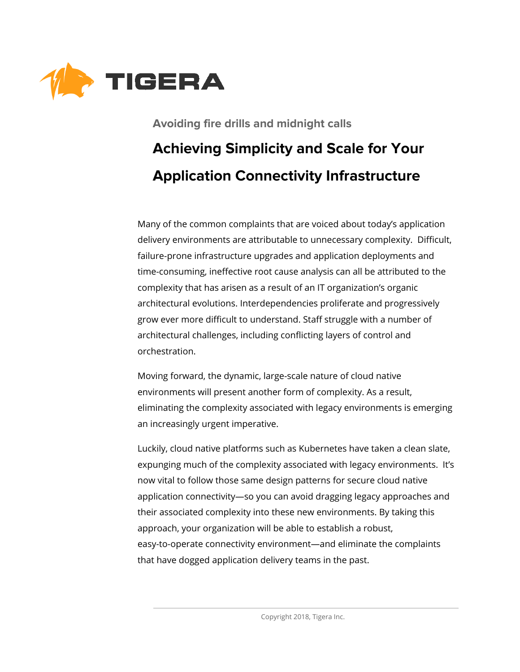

# **Avoiding fire drills and midnight calls Achieving Simplicity and Scale for Your Application Connectivity Infrastructure**

Many of the common complaints that are voiced about today's application delivery environments are attributable to unnecessary complexity. Difficult, failure-prone infrastructure upgrades and application deployments and time-consuming, ineffective root cause analysis can all be attributed to the complexity that has arisen as a result of an IT organization's organic architectural evolutions. Interdependencies proliferate and progressively grow ever more difficult to understand. Staff struggle with a number of architectural challenges, including conflicting layers of control and orchestration.

Moving forward, the dynamic, large-scale nature of cloud native environments will present another form of complexity. As a result, eliminating the complexity associated with legacy environments is emerging an increasingly urgent imperative.

Luckily, cloud native platforms such as Kubernetes have taken a clean slate, expunging much of the complexity associated with legacy environments. It's now vital to follow those same design patterns for secure cloud native application connectivity—so you can avoid dragging legacy approaches and their associated complexity into these new environments. By taking this approach, your organization will be able to establish a robust, easy-to-operate connectivity environment—and eliminate the complaints that have dogged application delivery teams in the past.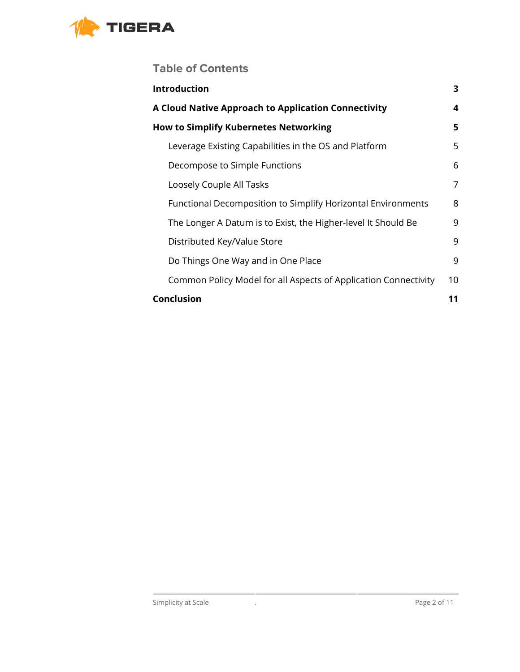

### **Table of Contents**

| Introduction                                                    | 3  |
|-----------------------------------------------------------------|----|
| A Cloud Native Approach to Application Connectivity             | 4  |
| <b>How to Simplify Kubernetes Networking</b>                    | 5  |
| Leverage Existing Capabilities in the OS and Platform           | 5  |
| Decompose to Simple Functions                                   | 6  |
| Loosely Couple All Tasks                                        | 7  |
| Functional Decomposition to Simplify Horizontal Environments    | 8  |
| The Longer A Datum is to Exist, the Higher-level It Should Be   | 9  |
| Distributed Key/Value Store                                     | 9  |
| Do Things One Way and in One Place                              | 9  |
| Common Policy Model for all Aspects of Application Connectivity | 10 |
| <b>Conclusion</b>                                               | 11 |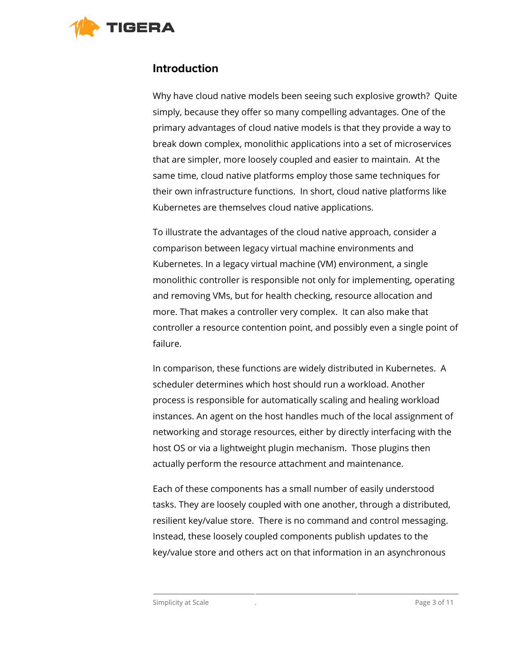<span id="page-2-0"></span>

#### **Introduction**

Why have cloud native models been seeing such explosive growth? Quite simply, because they offer so many compelling advantages. One of the primary advantages of cloud native models is that they provide a way to break down complex, monolithic applications into a set of microservices that are simpler, more loosely coupled and easier to maintain. At the same time, cloud native platforms employ those same techniques for their own infrastructure functions. In short, cloud native platforms like Kubernetes are themselves cloud native applications.

To illustrate the advantages of the cloud native approach, consider a comparison between legacy virtual machine environments and Kubernetes. In a legacy virtual machine (VM) environment, a single monolithic controller is responsible not only for implementing, operating and removing VMs, but for health checking, resource allocation and more. That makes a controller very complex. It can also make that controller a resource contention point, and possibly even a single point of failure.

In comparison, these functions are widely distributed in Kubernetes. A scheduler determines which host should run a workload. Another process is responsible for automatically scaling and healing workload instances. An agent on the host handles much of the local assignment of networking and storage resources, either by directly interfacing with the host OS or via a lightweight plugin mechanism. Those plugins then actually perform the resource attachment and maintenance.

Each of these components has a small number of easily understood tasks. They are loosely coupled with one another, through a distributed, resilient key/value store. There is no command and control messaging. Instead, these loosely coupled components publish updates to the key/value store and others act on that information in an asynchronous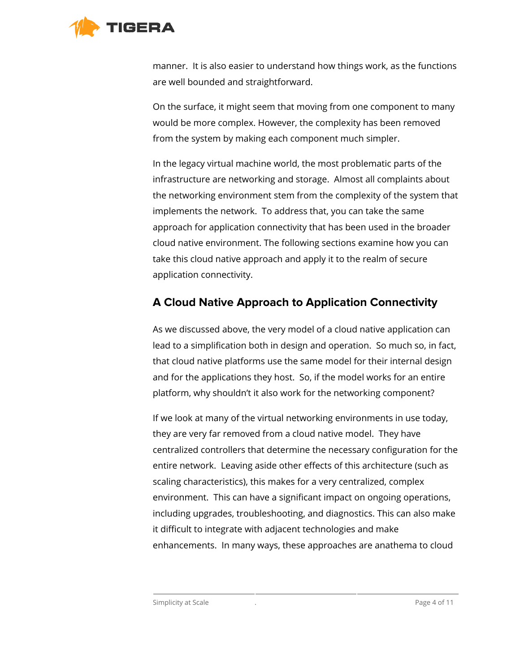

manner. It is also easier to understand how things work, as the functions are well bounded and straightforward.

On the surface, it might seem that moving from one component to many would be more complex. However, the complexity has been removed from the system by making each component much simpler.

In the legacy virtual machine world, the most problematic parts of the infrastructure are networking and storage. Almost all complaints about the networking environment stem from the complexity of the system that implements the network. To address that, you can take the same approach for application connectivity that has been used in the broader cloud native environment. The following sections examine how you can take this cloud native approach and apply it to the realm of secure application connectivity.

### <span id="page-3-0"></span>**A Cloud Native Approach to Application Connectivity**

As we discussed above, the very model of a cloud native application can lead to a simplification both in design and operation. So much so, in fact, that cloud native platforms use the same model for their internal design and for the applications they host. So, if the model works for an entire platform, why shouldn't it also work for the networking component?

If we look at many of the virtual networking environments in use today, they are very far removed from a cloud native model. They have centralized controllers that determine the necessary configuration for the entire network. Leaving aside other effects of this architecture (such as scaling characteristics), this makes for a very centralized, complex environment. This can have a significant impact on ongoing operations, including upgrades, troubleshooting, and diagnostics. This can also make it difficult to integrate with adjacent technologies and make enhancements. In many ways, these approaches are anathema to cloud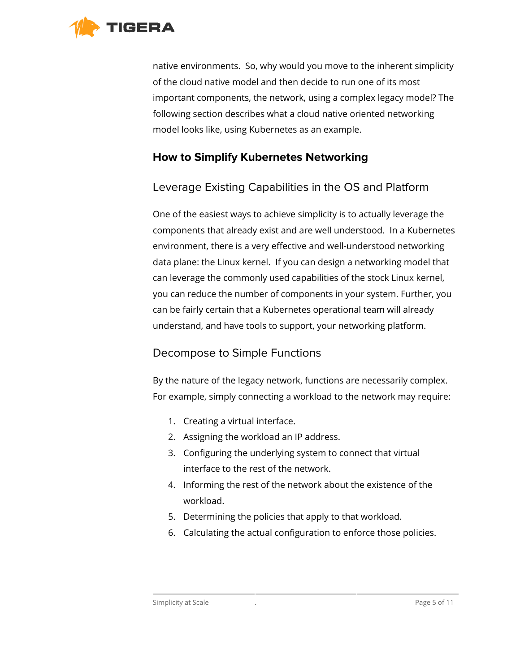

native environments. So, why would you move to the inherent simplicity of the cloud native model and then decide to run one of its most important components, the network, using a complex legacy model? The following section describes what a cloud native oriented networking model looks like, using Kubernetes as an example.

### <span id="page-4-0"></span>**How to Simplify Kubernetes Networking**

### <span id="page-4-1"></span>Leverage Existing Capabilities in the OS and Platform

One of the easiest ways to achieve simplicity is to actually leverage the components that already exist and are well understood. In a Kubernetes environment, there is a very effective and well-understood networking data plane: the Linux kernel. If you can design a networking model that can leverage the commonly used capabilities of the stock Linux kernel, you can reduce the number of components in your system. Further, you can be fairly certain that a Kubernetes operational team will already understand, and have tools to support, your networking platform.

### <span id="page-4-2"></span>Decompose to Simple Functions

By the nature of the legacy network, functions are necessarily complex. For example, simply connecting a workload to the network may require:

- 1. Creating a virtual interface.
- 2. Assigning the workload an IP address.
- 3. Configuring the underlying system to connect that virtual interface to the rest of the network.
- 4. Informing the rest of the network about the existence of the workload.
- 5. Determining the policies that apply to that workload.
- 6. Calculating the actual configuration to enforce those policies.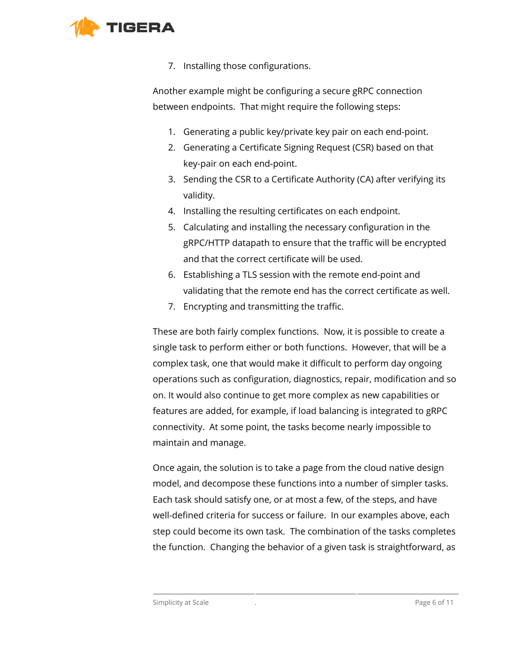

7. Installing those configurations.

Another example might be configuring a secure gRPC connection between endpoints. That might require the following steps:

- 1. Generating a public key/private key pair on each end-point.
- 2. Generating a Certificate Signing Request (CSR) based on that key-pair on each end-point.
- 3. Sending the CSR to a Certificate Authority (CA) after verifying its validity.
- 4. Installing the resulting certificates on each endpoint.
- 5. Calculating and installing the necessary configuration in the gRPC/HTTP datapath to ensure that the traffic will be encrypted and that the correct certificate will be used.
- 6. Establishing a TLS session with the remote end-point and validating that the remote end has the correct certificate as well.
- 7. Encrypting and transmitting the traffic.

These are both fairly complex functions. Now, it is possible to create a single task to perform either or both functions. However, that will be a complex task, one that would make it difficult to perform day ongoing operations such as configuration, diagnostics, repair, modification and so on. It would also continue to get more complex as new capabilities or features are added, for example, if load balancing is integrated to gRPC connectivity. At some point, the tasks become nearly impossible to maintain and manage.

Once again, the solution is to take a page from the cloud native design model, and decompose these functions into a number of simpler tasks. Each task should satisfy one, or at most a few, of the steps, and have well-defined criteria for success or failure. In our examples above, each step could become its own task. The combination of the tasks completes the function. Changing the behavior of a given task is straightforward, as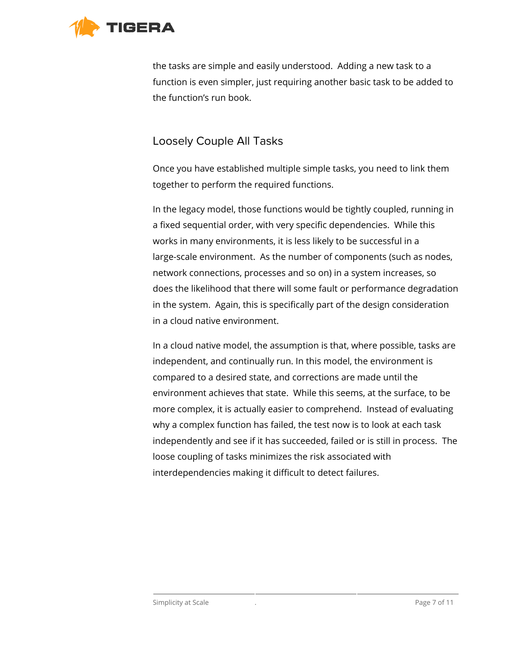

the tasks are simple and easily understood. Adding a new task to a function is even simpler, just requiring another basic task to be added to the function's run book.

### <span id="page-6-0"></span>Loosely Couple All Tasks

Once you have established multiple simple tasks, you need to link them together to perform the required functions.

In the legacy model, those functions would be tightly coupled, running in a fixed sequential order, with very specific dependencies. While this works in many environments, it is less likely to be successful in a large-scale environment. As the number of components (such as nodes, network connections, processes and so on) in a system increases, so does the likelihood that there will some fault or performance degradation in the system. Again, this is specifically part of the design consideration in a cloud native environment.

In a cloud native model, the assumption is that, where possible, tasks are independent, and continually run. In this model, the environment is compared to a desired state, and corrections are made until the environment achieves that state. While this seems, at the surface, to be more complex, it is actually easier to comprehend. Instead of evaluating why a complex function has failed, the test now is to look at each task independently and see if it has succeeded, failed or is still in process. The loose coupling of tasks minimizes the risk associated with interdependencies making it difficult to detect failures.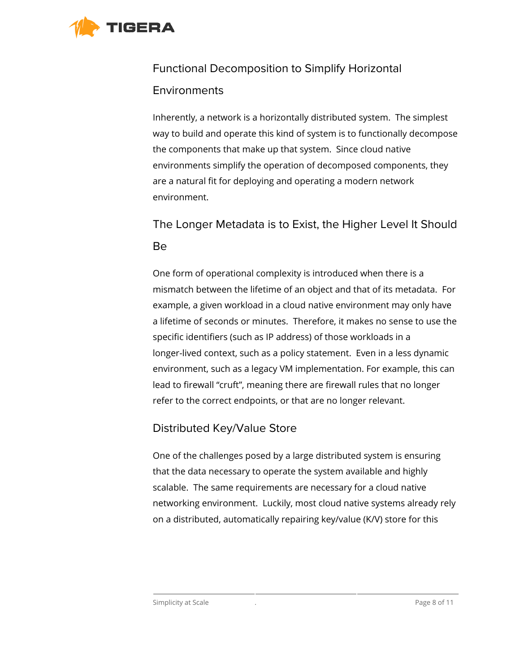<span id="page-7-0"></span>

# Functional Decomposition to Simplify Horizontal **Environments**

Inherently, a network is a horizontally distributed system. The simplest way to build and operate this kind of system is to functionally decompose the components that make up that system. Since cloud native environments simplify the operation of decomposed components, they are a natural fit for deploying and operating a modern network environment.

## <span id="page-7-1"></span>The Longer Metadata is to Exist, the Higher Level It Should Be

One form of operational complexity is introduced when there is a mismatch between the lifetime of an object and that of its metadata. For example, a given workload in a cloud native environment may only have a lifetime of seconds or minutes. Therefore, it makes no sense to use the specific identifiers (such as IP address) of those workloads in a longer-lived context, such as a policy statement. Even in a less dynamic environment, such as a legacy VM implementation. For example, this can lead to firewall "cruft", meaning there are firewall rules that no longer refer to the correct endpoints, or that are no longer relevant.

### <span id="page-7-2"></span>Distributed Key/Value Store

One of the challenges posed by a large distributed system is ensuring that the data necessary to operate the system available and highly scalable. The same requirements are necessary for a cloud native networking environment. Luckily, most cloud native systems already rely on a distributed, automatically repairing key/value (K/V) store for this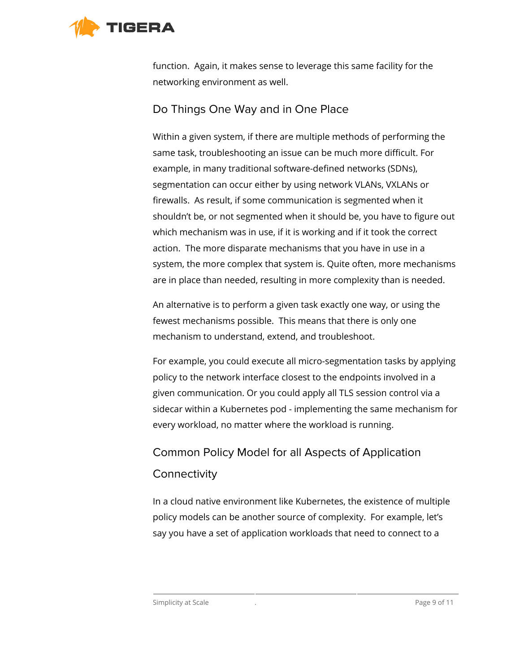<span id="page-8-0"></span>

function. Again, it makes sense to leverage this same facility for the networking environment as well.

#### Do Things One Way and in One Place

Within a given system, if there are multiple methods of performing the same task, troubleshooting an issue can be much more difficult. For example, in many traditional software-defined networks (SDNs), segmentation can occur either by using network VLANs, VXLANs or firewalls. As result, if some communication is segmented when it shouldn't be, or not segmented when it should be, you have to figure out which mechanism was in use, if it is working and if it took the correct action. The more disparate mechanisms that you have in use in a system, the more complex that system is. Quite often, more mechanisms are in place than needed, resulting in more complexity than is needed.

An alternative is to perform a given task exactly one way, or using the fewest mechanisms possible. This means that there is only one mechanism to understand, extend, and troubleshoot.

For example, you could execute all micro-segmentation tasks by applying policy to the network interface closest to the endpoints involved in a given communication. Or you could apply all TLS session control via a sidecar within a Kubernetes pod - implementing the same mechanism for every workload, no matter where the workload is running.

# <span id="page-8-1"></span>Common Policy Model for all Aspects of Application **Connectivity**

In a cloud native environment like Kubernetes, the existence of multiple policy models can be another source of complexity. For example, let's say you have a set of application workloads that need to connect to a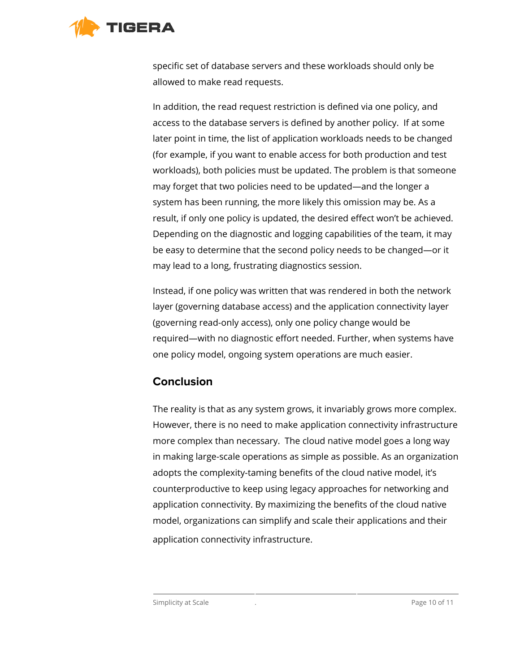

specific set of database servers and these workloads should only be allowed to make read requests.

In addition, the read request restriction is defined via one policy, and access to the database servers is defined by another policy. If at some later point in time, the list of application workloads needs to be changed (for example, if you want to enable access for both production and test workloads), both policies must be updated. The problem is that someone may forget that two policies need to be updated—and the longer a system has been running, the more likely this omission may be. As a result, if only one policy is updated, the desired effect won't be achieved. Depending on the diagnostic and logging capabilities of the team, it may be easy to determine that the second policy needs to be changed—or it may lead to a long, frustrating diagnostics session.

Instead, if one policy was written that was rendered in both the network layer (governing database access) and the application connectivity layer (governing read-only access), only one policy change would be required—with no diagnostic effort needed. Further, when systems have one policy model, ongoing system operations are much easier.

### <span id="page-9-0"></span>**Conclusion**

The reality is that as any system grows, it invariably grows more complex. However, there is no need to make application connectivity infrastructure more complex than necessary. The cloud native model goes a long way in making large-scale operations as simple as possible. As an organization adopts the complexity-taming benefits of the cloud native model, it's counterproductive to keep using legacy approaches for networking and application connectivity. By maximizing the benefits of the cloud native model, organizations can simplify and scale their applications and their application connectivity infrastructure.